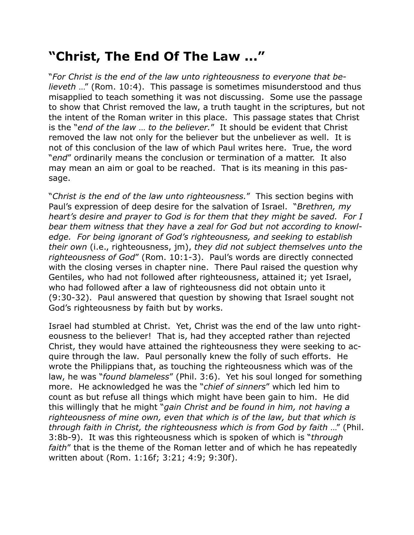## **"Christ, The End Of The Law ..."**

"*For Christ is the end of the law unto righteousness to everyone that believeth* …" (Rom. 10:4). This passage is sometimes misunderstood and thus misapplied to teach something it was not discussing. Some use the passage to show that Christ removed the law, a truth taught in the scriptures, but not the intent of the Roman writer in this place. This passage states that Christ is the "*end of the law* … *to the believer.*" It should be evident that Christ removed the law not only for the believer but the unbeliever as well. It is not of this conclusion of the law of which Paul writes here. True, the word "*end*" ordinarily means the conclusion or termination of a matter. It also may mean an aim or goal to be reached. That is its meaning in this passage.

"*Christ is the end of the law unto righteousness.*" This section begins with Paul's expression of deep desire for the salvation of Israel. "*Brethren, my heart's desire and prayer to God is for them that they might be saved. For I bear them witness that they have a zeal for God but not according to knowledge. For being ignorant of God's righteousness, and seeking to establish their own* (i.e., righteousness, jm), *they did not subject themselves unto the righteousness of God*" (Rom. 10:1-3). Paul's words are directly connected with the closing verses in chapter nine. There Paul raised the question why Gentiles, who had not followed after righteousness, attained it; yet Israel, who had followed after a law of righteousness did not obtain unto it (9:30-32). Paul answered that question by showing that Israel sought not God's righteousness by faith but by works.

Israel had stumbled at Christ. Yet, Christ was the end of the law unto righteousness to the believer! That is, had they accepted rather than rejected Christ, they would have attained the righteousness they were seeking to acquire through the law. Paul personally knew the folly of such efforts. He wrote the Philippians that, as touching the righteousness which was of the law, he was "*found blameless*" (Phil. 3:6). Yet his soul longed for something more. He acknowledged he was the "*chief of sinners*" which led him to count as but refuse all things which might have been gain to him. He did this willingly that he might "*gain Christ and be found in him, not having a righteousness of mine own, even that which is of the law, but that which is through faith in Christ, the righteousness which is from God by faith* …" (Phil. 3:8b-9). It was this righteousness which is spoken of which is "*through faith*" that is the theme of the Roman letter and of which he has repeatedly written about (Rom. 1:16f; 3:21; 4:9; 9:30f).